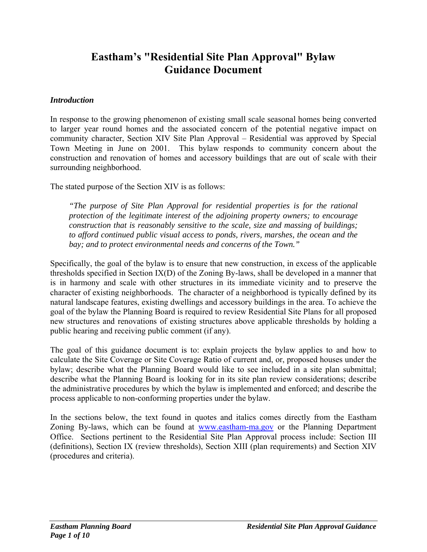# **Eastham's "Residential Site Plan Approval" Bylaw Guidance Document**

#### *Introduction*

In response to the growing phenomenon of existing small scale seasonal homes being converted to larger year round homes and the associated concern of the potential negative impact on community character, Section XIV Site Plan Approval – Residential was approved by Special Town Meeting in June on 2001. This bylaw responds to community concern about the construction and renovation of homes and accessory buildings that are out of scale with their surrounding neighborhood.

The stated purpose of the Section XIV is as follows:

*"The purpose of Site Plan Approval for residential properties is for the rational protection of the legitimate interest of the adjoining property owners; to encourage construction that is reasonably sensitive to the scale, size and massing of buildings; to afford continued public visual access to ponds, rivers, marshes, the ocean and the bay; and to protect environmental needs and concerns of the Town."* 

Specifically, the goal of the bylaw is to ensure that new construction, in excess of the applicable thresholds specified in Section IX(D) of the Zoning By-laws, shall be developed in a manner that is in harmony and scale with other structures in its immediate vicinity and to preserve the character of existing neighborhoods. The character of a neighborhood is typically defined by its natural landscape features, existing dwellings and accessory buildings in the area. To achieve the goal of the bylaw the Planning Board is required to review Residential Site Plans for all proposed new structures and renovations of existing structures above applicable thresholds by holding a public hearing and receiving public comment (if any).

The goal of this guidance document is to: explain projects the bylaw applies to and how to calculate the Site Coverage or Site Coverage Ratio of current and, or, proposed houses under the bylaw; describe what the Planning Board would like to see included in a site plan submittal; describe what the Planning Board is looking for in its site plan review considerations; describe the administrative procedures by which the bylaw is implemented and enforced; and describe the process applicable to non-conforming properties under the bylaw.

In the sections below, the text found in quotes and italics comes directly from the Eastham Zoning By-laws, which can be found at www.eastham-ma.gov or the Planning Department Office. Sections pertinent to the Residential Site Plan Approval process include: Section III (definitions), Section IX (review thresholds), Section XIII (plan requirements) and Section XIV (procedures and criteria).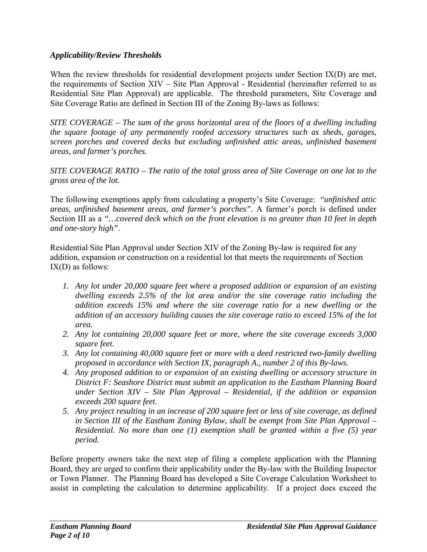### *Applicability/Review Thresholds*

When the review thresholds for residential development projects under Section IX(D) are met, the requirements of Section XIV – Site Plan Approval - Residential (hereinafter referred to as Residential Site Plan Approval) are applicable. The threshold parameters, Site Coverage and Site Coverage Ratio are defined in Section III of the Zoning By-laws as follows:

*SITE COVERAGE – The sum of the gross horizontal area of the floors of a dwelling including the square footage of any permanently roofed accessory structures such as sheds, garages, screen porches and covered decks but excluding unfinished attic areas, unfinished basement areas, and farmer's porches.* 

*SITE COVERAGE RATIO – The ratio of the total gross area of Site Coverage on one lot to the gross area of the lot.* 

The following exemptions apply from calculating a property's Site Coverage: "*unfinished attic areas, unfinished basement areas, and farmer's porches".* A farmer's porch is defined under Section III as a *"…covered deck which on the front elevation is no greater than 10 feet in depth and one-story high"*.

Residential Site Plan Approval under Section XIV of the Zoning By-law is required for any addition, expansion or construction on a residential lot that meets the requirements of Section IX(D) as follows:

- *1. Any lot under 20,000 square feet where a proposed addition or expansion of an existing dwelling exceeds 2.5% of the lot area and/or the site coverage ratio including the addition exceeds 15% and where the site coverage ratio for a new dwelling or the addition of an accessory building causes the site coverage ratio to exceed 15% of the lot area.*
- *2. Any lot containing 20,000 square feet or more, where the site coverage exceeds 3,000 square feet.*
- *3. Any lot containing 40,000 square feet or more with a deed restricted two-family dwelling proposed in accordance with Section IX, paragraph A., number 2 of this By-laws.*
- *4. Any proposed addition to or expansion of an existing dwelling or accessory structure in District F: Seashore District must submit an application to the Eastham Planning Board under Section XIV – Site Plan Approval – Residential, if the addition or expansion exceeds 200 square feet.*
- *5. Any project resulting in an increase of 200 square feet or less of site coverage, as defined in Section III of the Eastham Zoning Bylaw, shall be exempt from Site Plan Approval – Residential. No more than one (1) exemption shall be granted within a five (5) year period.*

Before property owners take the next step of filing a complete application with the Planning Board, they are urged to confirm their applicability under the By-law with the Building Inspector or Town Planner. The Planning Board has developed a Site Coverage Calculation Worksheet to assist in completing the calculation to determine applicability. If a project does exceed the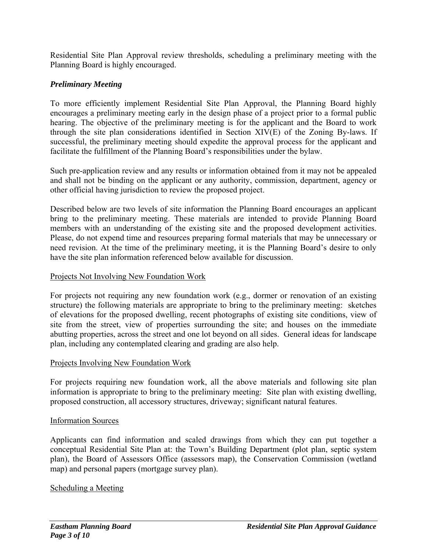Residential Site Plan Approval review thresholds, scheduling a preliminary meeting with the Planning Board is highly encouraged.

## *Preliminary Meeting*

To more efficiently implement Residential Site Plan Approval, the Planning Board highly encourages a preliminary meeting early in the design phase of a project prior to a formal public hearing. The objective of the preliminary meeting is for the applicant and the Board to work through the site plan considerations identified in Section XIV(E) of the Zoning By-laws. If successful, the preliminary meeting should expedite the approval process for the applicant and facilitate the fulfillment of the Planning Board's responsibilities under the bylaw.

Such pre-application review and any results or information obtained from it may not be appealed and shall not be binding on the applicant or any authority, commission, department, agency or other official having jurisdiction to review the proposed project.

Described below are two levels of site information the Planning Board encourages an applicant bring to the preliminary meeting. These materials are intended to provide Planning Board members with an understanding of the existing site and the proposed development activities. Please, do not expend time and resources preparing formal materials that may be unnecessary or need revision. At the time of the preliminary meeting, it is the Planning Board's desire to only have the site plan information referenced below available for discussion.

### Projects Not Involving New Foundation Work

For projects not requiring any new foundation work (e.g., dormer or renovation of an existing structure) the following materials are appropriate to bring to the preliminary meeting: sketches of elevations for the proposed dwelling, recent photographs of existing site conditions, view of site from the street, view of properties surrounding the site; and houses on the immediate abutting properties, across the street and one lot beyond on all sides. General ideas for landscape plan, including any contemplated clearing and grading are also help.

#### Projects Involving New Foundation Work

For projects requiring new foundation work, all the above materials and following site plan information is appropriate to bring to the preliminary meeting: Site plan with existing dwelling, proposed construction, all accessory structures, driveway; significant natural features.

#### Information Sources

Applicants can find information and scaled drawings from which they can put together a conceptual Residential Site Plan at: the Town's Building Department (plot plan, septic system plan), the Board of Assessors Office (assessors map), the Conservation Commission (wetland map) and personal papers (mortgage survey plan).

#### Scheduling a Meeting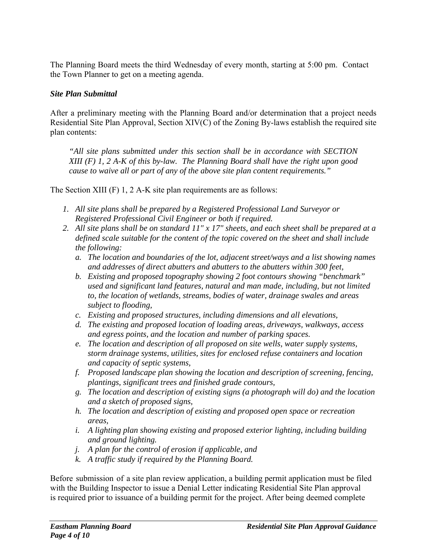The Planning Board meets the third Wednesday of every month, starting at 5:00 pm. Contact the Town Planner to get on a meeting agenda.

### *Site Plan Submittal*

After a preliminary meeting with the Planning Board and/or determination that a project needs Residential Site Plan Approval, Section XIV(C) of the Zoning By-laws establish the required site plan contents:

*"All site plans submitted under this section shall be in accordance with SECTION XIII (F) 1, 2 A-K of this by-law. The Planning Board shall have the right upon good cause to waive all or part of any of the above site plan content requirements."* 

The Section XIII (F) 1, 2 A-K site plan requirements are as follows:

- *1. All site plans shall be prepared by a Registered Professional Land Surveyor or Registered Professional Civil Engineer or both if required.*
- *2. All site plans shall be on standard 11" x 17" sheets, and each sheet shall be prepared at a defined scale suitable for the content of the topic covered on the sheet and shall include the following:* 
	- *a. The location and boundaries of the lot, adjacent street/ways and a list showing names and addresses of direct abutters and abutters to the abutters within 300 feet,*
	- *b. Existing and proposed topography showing 2 foot contours showing "benchmark" used and significant land features, natural and man made, including, but not limited to, the location of wetlands, streams, bodies of water, drainage swales and areas subject to flooding,*
	- *c. Existing and proposed structures, including dimensions and all elevations,*
	- *d. The existing and proposed location of loading areas, driveways, walkways, access and egress points, and the location and number of parking spaces.*
	- *e. The location and description of all proposed on site wells, water supply systems, storm drainage systems, utilities, sites for enclosed refuse containers and location and capacity of septic systems,*
	- *f. Proposed landscape plan showing the location and description of screening, fencing, plantings, significant trees and finished grade contours,*
	- *g. The location and description of existing signs (a photograph will do) and the location and a sketch of proposed signs,*
	- *h. The location and description of existing and proposed open space or recreation areas,*
	- *i. A lighting plan showing existing and proposed exterior lighting, including building and ground lighting.*
	- *j. A plan for the control of erosion if applicable, and*
	- *k. A traffic study if required by the Planning Board.*

Before submission of a site plan review application, a building permit application must be filed with the Building Inspector to issue a Denial Letter indicating Residential Site Plan approval is required prior to issuance of a building permit for the project. After being deemed complete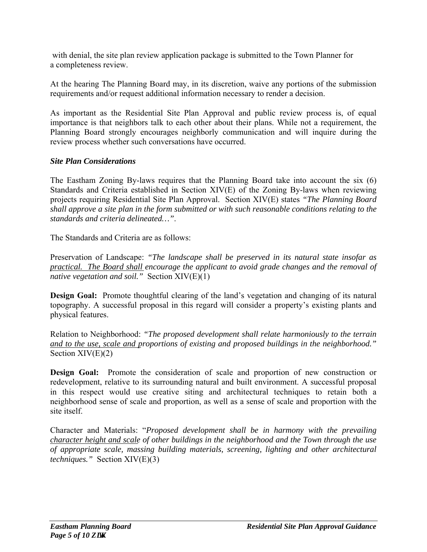with denial, the site plan review application package is submitted to the Town Planner for a completeness review.

At the hearing The Planning Board may, in its discretion, waive any portions of the submission requirements and/or request additional information necessary to render a decision.

As important as the Residential Site Plan Approval and public review process is, of equal importance is that neighbors talk to each other about their plans. While not a requirement, the Planning Board strongly encourages neighborly communication and will inquire during the review process whether such conversations have occurred.

# *Site Plan Considerations*

The Eastham Zoning By-laws requires that the Planning Board take into account the six (6) Standards and Criteria established in Section XIV(E) of the Zoning By-laws when reviewing projects requiring Residential Site Plan Approval. Section XIV(E) states *"The Planning Board shall approve a site plan in the form submitted or with such reasonable conditions relating to the standards and criteria delineated…"*.

The Standards and Criteria are as follows:

Preservation of Landscape: *"The landscape shall be preserved in its natural state insofar as practical. The Board shall encourage the applicant to avoid grade changes and the removal of native vegetation and soil."* Section XIV(E)(1)

**Design Goal:** Promote thoughtful clearing of the land's vegetation and changing of its natural topography. A successful proposal in this regard will consider a property's existing plants and physical features.

Relation to Neighborhood: *"The proposed development shall relate harmoniously to the terrain and to the use, scale and proportions of existing and proposed buildings in the neighborhood."* Section  $XIV(E)(2)$ 

**Design Goal:** Promote the consideration of scale and proportion of new construction or redevelopment, relative to its surrounding natural and built environment. A successful proposal in this respect would use creative siting and architectural techniques to retain both a neighborhood sense of scale and proportion, as well as a sense of scale and proportion with the site itself.

Character and Materials: "*Proposed development shall be in harmony with the prevailing character height and scale of other buildings in the neighborhood and the Town through the use of appropriate scale, massing building materials, screening, lighting and other architectural techniques."* Section XIV(E)(3)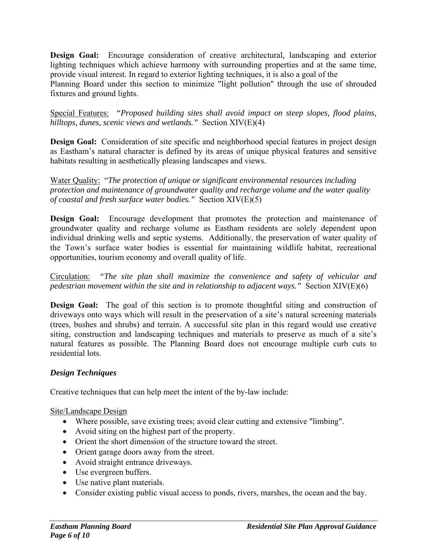**Design Goal:** Encourage consideration of creative architectural, landscaping and exterior lighting techniques which achieve harmony with surrounding properties and at the same time, provide visual interest. In regard to exterior lighting techniques, it is also a goal of the Planning Board under this section to minimize "light pollution" through the use of shrouded fixtures and ground lights.

Special Features: *"Proposed building sites shall avoid impact on steep slopes, flood plains, hilltops, dunes, scenic views and wetlands."* Section XIV(E)(4)

**Design Goal:** Consideration of site specific and neighborhood special features in project design as Eastham's natural character is defined by its areas of unique physical features and sensitive habitats resulting in aesthetically pleasing landscapes and views.

Water Quality: "*The protection of unique or significant environmental resources including protection and maintenance of groundwater quality and recharge volume and the water quality of coastal and fresh surface water bodies."* Section XIV(E)(5)

**Design Goal:** Encourage development that promotes the protection and maintenance of groundwater quality and recharge volume as Eastham residents are solely dependent upon individual drinking wells and septic systems. Additionally, the preservation of water quality of the Town's surface water bodies is essential for maintaining wildlife habitat, recreational opportunities, tourism economy and overall quality of life.

Circulation: *"The site plan shall maximize the convenience and safety of vehicular and pedestrian movement within the site and in relationship to adjacent ways."* Section XIV(E)(6)

**Design Goal:** The goal of this section is to promote thoughtful siting and construction of driveways onto ways which will result in the preservation of a site's natural screening materials (trees, bushes and shrubs) and terrain. A successful site plan in this regard would use creative siting, construction and landscaping techniques and materials to preserve as much of a site's natural features as possible. The Planning Board does not encourage multiple curb cuts to residential lots.

### *Design Techniques*

Creative techniques that can help meet the intent of the by-law include:

Site/Landscape Design

- Where possible, save existing trees; avoid clear cutting and extensive "limbing".
- Avoid siting on the highest part of the property.
- Orient the short dimension of the structure toward the street.
- Orient garage doors away from the street.
- Avoid straight entrance driveways.
- Use evergreen buffers.
- Use native plant materials.
- Consider existing public visual access to ponds, rivers, marshes, the ocean and the bay.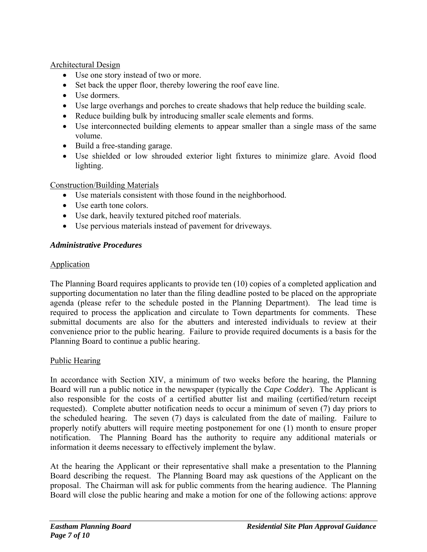### Architectural Design

- Use one story instead of two or more.
- Set back the upper floor, thereby lowering the roof eave line.
- Use dormers.
- Use large overhangs and porches to create shadows that help reduce the building scale.
- Reduce building bulk by introducing smaller scale elements and forms.
- Use interconnected building elements to appear smaller than a single mass of the same volume.
- Build a free-standing garage.
- Use shielded or low shrouded exterior light fixtures to minimize glare. Avoid flood lighting.

#### Construction/Building Materials

- Use materials consistent with those found in the neighborhood.
- Use earth tone colors.
- Use dark, heavily textured pitched roof materials.
- Use pervious materials instead of pavement for driveways.

### *Administrative Procedures*

### **Application**

The Planning Board requires applicants to provide ten (10) copies of a completed application and supporting documentation no later than the filing deadline posted to be placed on the appropriate agenda (please refer to the schedule posted in the Planning Department). The lead time is required to process the application and circulate to Town departments for comments. These submittal documents are also for the abutters and interested individuals to review at their convenience prior to the public hearing. Failure to provide required documents is a basis for the Planning Board to continue a public hearing.

### Public Hearing

In accordance with Section XIV, a minimum of two weeks before the hearing, the Planning Board will run a public notice in the newspaper (typically the *Cape Codder*). The Applicant is also responsible for the costs of a certified abutter list and mailing (certified/return receipt requested). Complete abutter notification needs to occur a minimum of seven (7) day priors to the scheduled hearing. The seven (7) days is calculated from the date of mailing. Failure to properly notify abutters will require meeting postponement for one (1) month to ensure proper notification. The Planning Board has the authority to require any additional materials or information it deems necessary to effectively implement the bylaw.

At the hearing the Applicant or their representative shall make a presentation to the Planning Board describing the request. The Planning Board may ask questions of the Applicant on the proposal. The Chairman will ask for public comments from the hearing audience. The Planning Board will close the public hearing and make a motion for one of the following actions: approve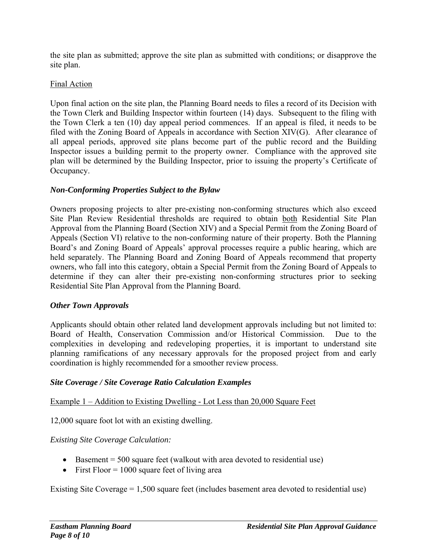the site plan as submitted; approve the site plan as submitted with conditions; or disapprove the site plan.

## Final Action

Upon final action on the site plan, the Planning Board needs to files a record of its Decision with the Town Clerk and Building Inspector within fourteen (14) days. Subsequent to the filing with the Town Clerk a ten (10) day appeal period commences. If an appeal is filed, it needs to be filed with the Zoning Board of Appeals in accordance with Section XIV(G). After clearance of all appeal periods, approved site plans become part of the public record and the Building Inspector issues a building permit to the property owner. Compliance with the approved site plan will be determined by the Building Inspector, prior to issuing the property's Certificate of Occupancy.

# *Non-Conforming Properties Subject to the Bylaw*

Owners proposing projects to alter pre-existing non-conforming structures which also exceed Site Plan Review Residential thresholds are required to obtain both Residential Site Plan Approval from the Planning Board (Section XIV) and a Special Permit from the Zoning Board of Appeals (Section VI) relative to the non-conforming nature of their property. Both the Planning Board's and Zoning Board of Appeals' approval processes require a public hearing, which are held separately. The Planning Board and Zoning Board of Appeals recommend that property owners, who fall into this category, obtain a Special Permit from the Zoning Board of Appeals to determine if they can alter their pre-existing non-conforming structures prior to seeking Residential Site Plan Approval from the Planning Board.

### *Other Town Approvals*

Applicants should obtain other related land development approvals including but not limited to: Board of Health, Conservation Commission and/or Historical Commission. Due to the complexities in developing and redeveloping properties, it is important to understand site planning ramifications of any necessary approvals for the proposed project from and early coordination is highly recommended for a smoother review process.

# *Site Coverage / Site Coverage Ratio Calculation Examples*

Example 1 – Addition to Existing Dwelling - Lot Less than 20,000 Square Feet

12,000 square foot lot with an existing dwelling.

# *Existing Site Coverage Calculation:*

- Basement  $= 500$  square feet (walkout with area devoted to residential use)
- First Floor  $= 1000$  square feet of living area

Existing Site Coverage = 1,500 square feet (includes basement area devoted to residential use)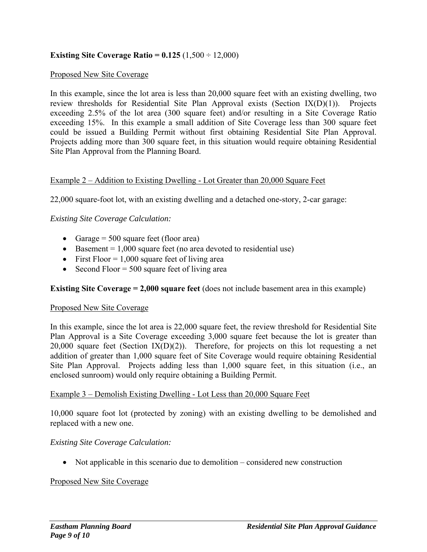### **Existing Site Coverage Ratio =**  $0.125 (1,500 \div 12,000)$

#### Proposed New Site Coverage

In this example, since the lot area is less than 20,000 square feet with an existing dwelling, two review thresholds for Residential Site Plan Approval exists (Section IX(D)(1)). Projects exceeding 2.5% of the lot area (300 square feet) and/or resulting in a Site Coverage Ratio exceeding 15%. In this example a small addition of Site Coverage less than 300 square feet could be issued a Building Permit without first obtaining Residential Site Plan Approval. Projects adding more than 300 square feet, in this situation would require obtaining Residential Site Plan Approval from the Planning Board.

#### Example 2 – Addition to Existing Dwelling - Lot Greater than 20,000 Square Feet

22,000 square-foot lot, with an existing dwelling and a detached one-story, 2-car garage:

#### *Existing Site Coverage Calculation:*

- Garage  $= 500$  square feet (floor area)
- Basement =  $1,000$  square feet (no area devoted to residential use)
- First Floor  $= 1,000$  square feet of living area
- Second Floor =  $500$  square feet of living area

#### **Existing Site Coverage = 2,000 square feet** (does not include basement area in this example)

#### Proposed New Site Coverage

In this example, since the lot area is 22,000 square feet, the review threshold for Residential Site Plan Approval is a Site Coverage exceeding 3,000 square feet because the lot is greater than 20,000 square feet (Section  $IX(D)(2)$ ). Therefore, for projects on this lot requesting a net addition of greater than 1,000 square feet of Site Coverage would require obtaining Residential Site Plan Approval. Projects adding less than 1,000 square feet, in this situation (i.e., an enclosed sunroom) would only require obtaining a Building Permit.

#### Example 3 – Demolish Existing Dwelling - Lot Less than 20,000 Square Feet

10,000 square foot lot (protected by zoning) with an existing dwelling to be demolished and replaced with a new one.

#### *Existing Site Coverage Calculation:*

Not applicable in this scenario due to demolition – considered new construction

#### Proposed New Site Coverage